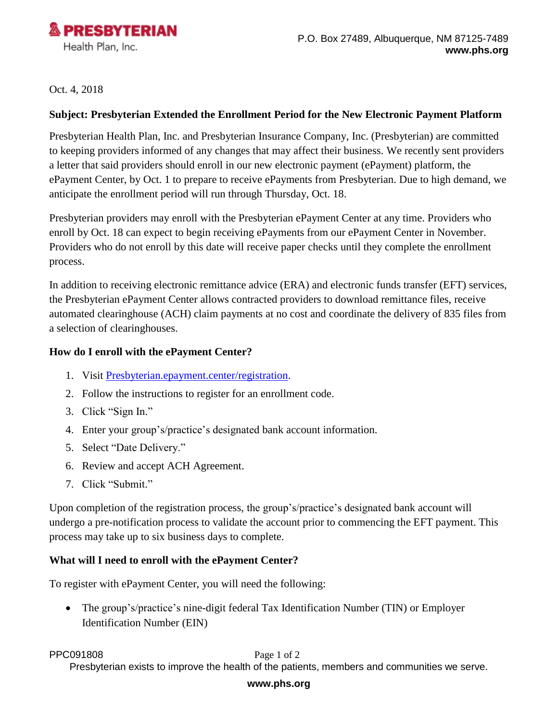

Oct. 4, 2018

## **Subject: Presbyterian Extended the Enrollment Period for the New Electronic Payment Platform**

Presbyterian Health Plan, Inc. and Presbyterian Insurance Company, Inc. (Presbyterian) are committed to keeping providers informed of any changes that may affect their business. We recently sent providers a letter that said providers should enroll in our new electronic payment (ePayment) platform, the ePayment Center, by Oct. 1 to prepare to receive ePayments from Presbyterian. Due to high demand, we anticipate the enrollment period will run through Thursday, Oct. 18.

Presbyterian providers may enroll with the Presbyterian ePayment Center at any time. Providers who enroll by Oct. 18 can expect to begin receiving ePayments from our ePayment Center in November. Providers who do not enroll by this date will receive paper checks until they complete the enrollment process.

In addition to receiving electronic remittance advice (ERA) and electronic funds transfer (EFT) services, the Presbyterian ePayment Center allows contracted providers to download remittance files, receive automated clearinghouse (ACH) claim payments at no cost and coordinate the delivery of 835 files from a selection of clearinghouses.

## **How do I enroll with the ePayment Center?**

- 1. Visit [Presbyterian.epayment.center/registration.](Presbyterian.epayment.center/registration)
- 2. Follow the instructions to register for an enrollment code.
- 3. Click "Sign In."
- 4. Enter your group's/practice's designated bank account information.
- 5. Select "Date Delivery."
- 6. Review and accept ACH Agreement.
- 7. Click "Submit."

Upon completion of the registration process, the group's/practice's designated bank account will undergo a pre-notification process to validate the account prior to commencing the EFT payment. This process may take up to six business days to complete.

## **What will I need to enroll with the ePayment Center?**

To register with ePayment Center, you will need the following:

 The group's/practice's nine-digit federal Tax Identification Number (TIN) or Employer Identification Number (EIN)

**PPC091808** Page 1 of 2

Presbyterian exists to improve the health of the patients, members and communities we serve.

### **www.phs.org**